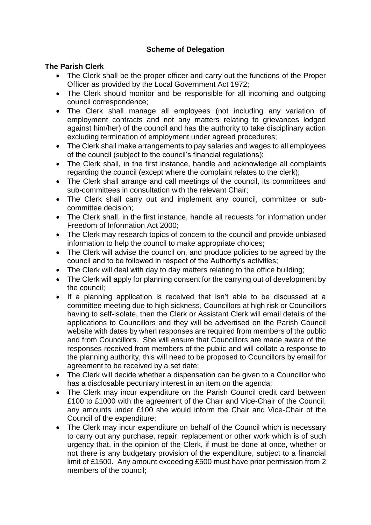## **Scheme of Delegation**

## **The Parish Clerk**

- The Clerk shall be the proper officer and carry out the functions of the Proper Officer as provided by the Local Government Act 1972;
- The Clerk should monitor and be responsible for all incoming and outgoing council correspondence;
- The Clerk shall manage all employees (not including any variation of employment contracts and not any matters relating to grievances lodged against him/her) of the council and has the authority to take disciplinary action excluding termination of employment under agreed procedures;
- The Clerk shall make arrangements to pay salaries and wages to all employees of the council (subject to the council's financial regulations);
- The Clerk shall, in the first instance, handle and acknowledge all complaints regarding the council (except where the complaint relates to the clerk);
- The Clerk shall arrange and call meetings of the council, its committees and sub-committees in consultation with the relevant Chair;
- The Clerk shall carry out and implement any council, committee or subcommittee decision;
- The Clerk shall, in the first instance, handle all requests for information under Freedom of Information Act 2000;
- The Clerk may research topics of concern to the council and provide unbiased information to help the council to make appropriate choices;
- The Clerk will advise the council on, and produce policies to be agreed by the council and to be followed in respect of the Authority's activities;
- The Clerk will deal with day to day matters relating to the office building;
- The Clerk will apply for planning consent for the carrying out of development by the council;
- If a planning application is received that isn't able to be discussed at a committee meeting due to high sickness, Councillors at high risk or Councillors having to self-isolate, then the Clerk or Assistant Clerk will email details of the applications to Councillors and they will be advertised on the Parish Council website with dates by when responses are required from members of the public and from Councillors. She will ensure that Councillors are made aware of the responses received from members of the public and will collate a response to the planning authority, this will need to be proposed to Councillors by email for agreement to be received by a set date;
- The Clerk will decide whether a dispensation can be given to a Councillor who has a disclosable pecuniary interest in an item on the agenda;
- The Clerk may incur expenditure on the Parish Council credit card between £100 to £1000 with the agreement of the Chair and Vice-Chair of the Council, any amounts under £100 she would inform the Chair and Vice-Chair of the Council of the expenditure;
- The Clerk may incur expenditure on behalf of the Council which is necessary to carry out any purchase, repair, replacement or other work which is of such urgency that, in the opinion of the Clerk, if must be done at once, whether or not there is any budgetary provision of the expenditure, subject to a financial limit of £1500. Any amount exceeding £500 must have prior permission from 2 members of the council;